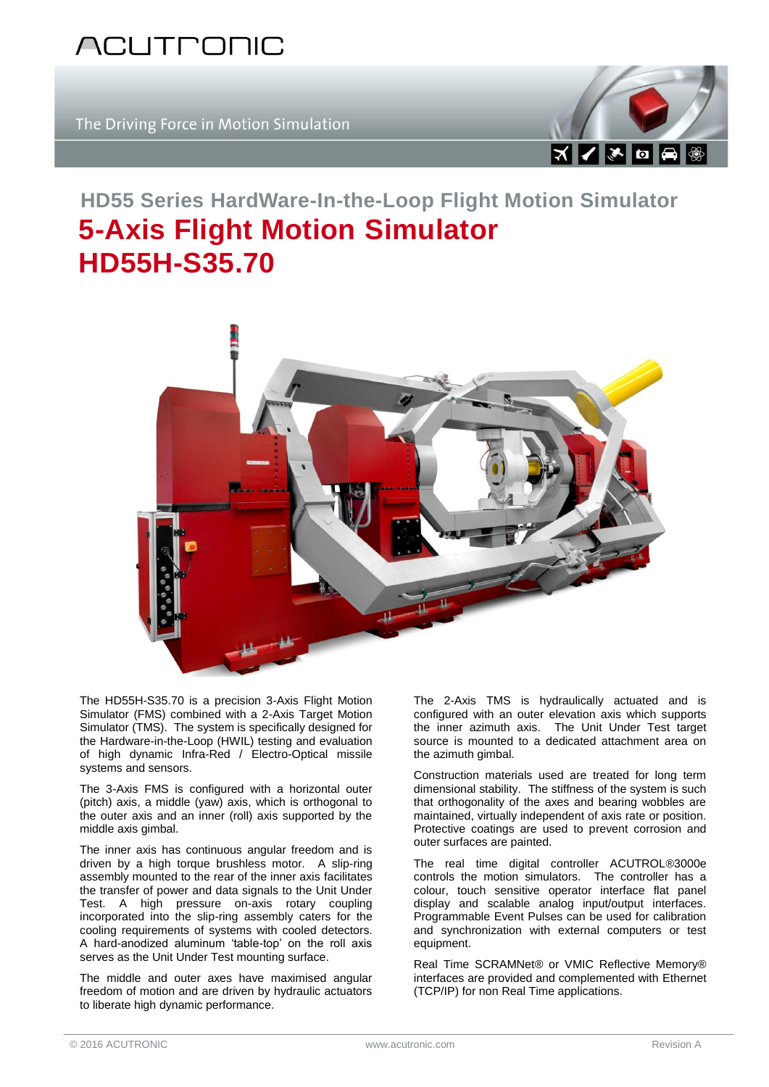

The Driving Force in Motion Simulation



## **HD55 Series HardWare-In-the-Loop Flight Motion Simulator 5-Axis Flight Motion Simulator HD55H-S35.70**



The HD55H-S35.70 is a precision 3-Axis Flight Motion Simulator (FMS) combined with a 2-Axis Target Motion Simulator (TMS). The system is specifically designed for the Hardware-in-the-Loop (HWIL) testing and evaluation of high dynamic Infra-Red / Electro-Optical missile systems and sensors.

The 3-Axis FMS is configured with a horizontal outer (pitch) axis, a middle (yaw) axis, which is orthogonal to the outer axis and an inner (roll) axis supported by the middle axis gimbal.

The inner axis has continuous angular freedom and is driven by a high torque brushless motor. A slip-ring assembly mounted to the rear of the inner axis facilitates the transfer of power and data signals to the Unit Under Test. A high pressure on-axis rotary coupling incorporated into the slip-ring assembly caters for the cooling requirements of systems with cooled detectors. A hard-anodized aluminum 'table-top' on the roll axis serves as the Unit Under Test mounting surface.

The middle and outer axes have maximised angular freedom of motion and are driven by hydraulic actuators to liberate high dynamic performance.

The 2-Axis TMS is hydraulically actuated and is configured with an outer elevation axis which supports the inner azimuth axis. The Unit Under Test target source is mounted to a dedicated attachment area on the azimuth gimbal.

Construction materials used are treated for long term dimensional stability. The stiffness of the system is such that orthogonality of the axes and bearing wobbles are maintained, virtually independent of axis rate or position. Protective coatings are used to prevent corrosion and outer surfaces are painted.

The real time digital controller ACUTROL®3000e controls the motion simulators. The controller has a colour, touch sensitive operator interface flat panel display and scalable analog input/output interfaces. Programmable Event Pulses can be used for calibration and synchronization with external computers or test equipment.

Real Time SCRAMNet® or VMIC Reflective Memory® interfaces are provided and complemented with Ethernet (TCP/IP) for non Real Time applications.